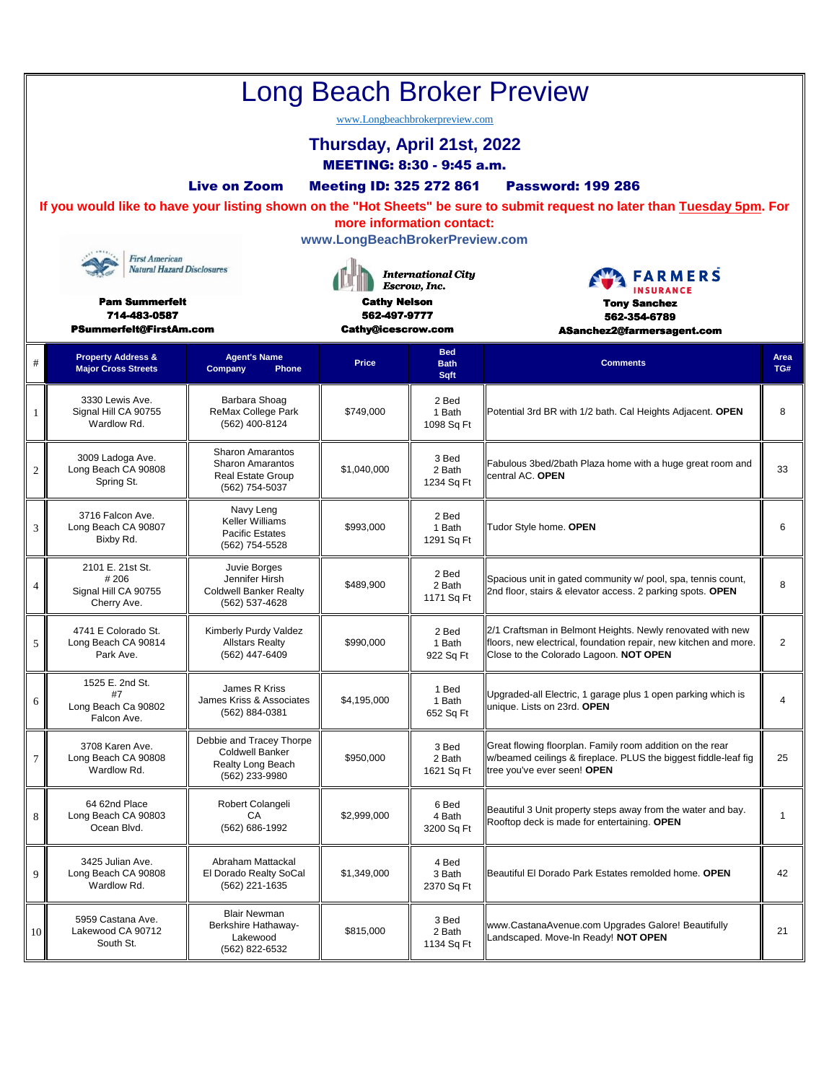|    | <b>Long Beach Broker Preview</b><br>www.Longbeachbrokerpreview.com<br>Thursday, April 21st, 2022<br>MEETING: 8:30 - 9:45 a.m.<br><b>Live on Zoom</b><br><b>Meeting ID: 325 272 861</b><br><b>Password: 199 286</b><br>If you would like to have your listing shown on the "Hot Sheets" be sure to submit request no later than Tuesday 5pm. For<br>more information contact:<br>www.LongBeachBrokerPreview.com<br><b>First American</b><br><b>Natural Hazard Disclosures</b><br><b>International City</b><br><b>FARMERS</b><br>Escrow, Inc.<br><b>INSURANCE</b><br><b>Pam Summerfelt</b><br><b>Cathy Nelson</b><br><b>Tony Sanchez</b><br>562-497-9777<br>714-483-0587<br>562-354-6789 |                                                                                           |                                           |                                   |                                                                                                                                                                          |                |  |  |  |
|----|----------------------------------------------------------------------------------------------------------------------------------------------------------------------------------------------------------------------------------------------------------------------------------------------------------------------------------------------------------------------------------------------------------------------------------------------------------------------------------------------------------------------------------------------------------------------------------------------------------------------------------------------------------------------------------------|-------------------------------------------------------------------------------------------|-------------------------------------------|-----------------------------------|--------------------------------------------------------------------------------------------------------------------------------------------------------------------------|----------------|--|--|--|
| #  | <b>PSummerfelt@FirstAm.com</b><br><b>Property Address &amp;</b><br><b>Major Cross Streets</b>                                                                                                                                                                                                                                                                                                                                                                                                                                                                                                                                                                                          | <b>Agent's Name</b><br>Company<br>Phone                                                   | <b>Cathy@icescrow.com</b><br><b>Price</b> | <b>Bed</b><br><b>Bath</b><br>Sqft | ASanchez2@farmersagent.com<br><b>Comments</b>                                                                                                                            | Area<br>TG#    |  |  |  |
| 1  | 3330 Lewis Ave.<br>Signal Hill CA 90755<br>Wardlow Rd.                                                                                                                                                                                                                                                                                                                                                                                                                                                                                                                                                                                                                                 | Barbara Shoag<br>ReMax College Park<br>(562) 400-8124                                     | \$749,000                                 | 2 Bed<br>1 Bath<br>1098 Sq Ft     | Potential 3rd BR with 1/2 bath. Cal Heights Adjacent. OPEN                                                                                                               | 8              |  |  |  |
| 2  | 3009 Ladoga Ave.<br>Long Beach CA 90808<br>Spring St.                                                                                                                                                                                                                                                                                                                                                                                                                                                                                                                                                                                                                                  | <b>Sharon Amarantos</b><br><b>Sharon Amarantos</b><br>Real Estate Group<br>(562) 754-5037 | \$1,040,000                               | 3 Bed<br>2 Bath<br>1234 Sq Ft     | Fabulous 3bed/2bath Plaza home with a huge great room and<br>central AC. OPEN                                                                                            | 33             |  |  |  |
| 3  | 3716 Falcon Ave.<br>Long Beach CA 90807<br>Bixby Rd.                                                                                                                                                                                                                                                                                                                                                                                                                                                                                                                                                                                                                                   | Navy Leng<br>Keller Williams<br><b>Pacific Estates</b><br>(562) 754-5528                  | \$993,000                                 | 2 Bed<br>1 Bath<br>1291 Sq Ft     | Tudor Style home. OPEN                                                                                                                                                   | 6              |  |  |  |
| 4  | 2101 E. 21st St.<br>#206<br>Signal Hill CA 90755<br>Cherry Ave.                                                                                                                                                                                                                                                                                                                                                                                                                                                                                                                                                                                                                        | Juvie Borges<br>Jennifer Hirsh<br><b>Coldwell Banker Realty</b><br>(562) 537-4628         | \$489,900                                 | 2 Bed<br>2 Bath<br>1171 Sq Ft     | Spacious unit in gated community w/ pool, spa, tennis count,<br>2nd floor, stairs & elevator access. 2 parking spots. OPEN                                               | 8              |  |  |  |
| 5  | 4741 E Colorado St.<br>Long Beach CA 90814<br>Park Ave.                                                                                                                                                                                                                                                                                                                                                                                                                                                                                                                                                                                                                                | Kimberly Purdy Valdez<br><b>Allstars Realty</b><br>(562) 447-6409                         | \$990,000                                 | 2 Bed<br>1 Bath<br>922 Sq Ft      | 2/1 Craftsman in Belmont Heights. Newly renovated with new<br>floors, new electrical, foundation repair, new kitchen and more.<br>Close to the Colorado Lagoon. NOT OPEN | $\overline{2}$ |  |  |  |
| 6  | 1525 E. 2nd St.<br>#7<br>Long Beach Ca 90802<br>Falcon Ave.                                                                                                                                                                                                                                                                                                                                                                                                                                                                                                                                                                                                                            | James R Kriss<br>James Kriss & Associates<br>(562) 884-0381                               | \$4,195,000                               | 1 Bed<br>1 Bath<br>652 Sq Ft      | Upgraded-all Electric, 1 garage plus 1 open parking which is<br>unique. Lists on 23rd. OPEN                                                                              | $\overline{4}$ |  |  |  |
| 7  | 3708 Karen Ave.<br>Long Beach CA 90808<br>Wardlow Rd.                                                                                                                                                                                                                                                                                                                                                                                                                                                                                                                                                                                                                                  | Debbie and Tracey Thorpe<br>Coldwell Banker<br><b>Realty Long Beach</b><br>(562) 233-9980 | \$950,000                                 | 3 Bed<br>2 Bath<br>1621 Sq Ft     | Great flowing floorplan. Family room addition on the rear<br>w/beamed ceilings & fireplace. PLUS the biggest fiddle-leaf fig<br>tree you've ever seen! OPEN              | 25             |  |  |  |
| 8  | 64 62nd Place<br>Long Beach CA 90803<br>Ocean Blvd.                                                                                                                                                                                                                                                                                                                                                                                                                                                                                                                                                                                                                                    | Robert Colangeli<br>СA<br>(562) 686-1992                                                  | \$2,999,000                               | 6 Bed<br>4 Bath<br>3200 Sq Ft     | Beautiful 3 Unit property steps away from the water and bay.<br>Rooftop deck is made for entertaining. OPEN                                                              | $\overline{1}$ |  |  |  |
| 9  | 3425 Julian Ave.<br>Long Beach CA 90808<br>Wardlow Rd.                                                                                                                                                                                                                                                                                                                                                                                                                                                                                                                                                                                                                                 | Abraham Mattackal<br>El Dorado Realty SoCal<br>(562) 221-1635                             | \$1,349,000                               | 4 Bed<br>3 Bath<br>2370 Sq Ft     | Beautiful El Dorado Park Estates remolded home. OPEN                                                                                                                     | 42             |  |  |  |
| 10 | 5959 Castana Ave.<br>Lakewood CA 90712<br>South St.                                                                                                                                                                                                                                                                                                                                                                                                                                                                                                                                                                                                                                    | <b>Blair Newman</b><br>Berkshire Hathaway-<br>Lakewood<br>(562) 822-6532                  | \$815,000                                 | 3 Bed<br>2 Bath<br>1134 Sq Ft     | www.CastanaAvenue.com Upgrades Galore! Beautifully<br>Landscaped. Move-In Ready! NOT OPEN                                                                                | 21             |  |  |  |